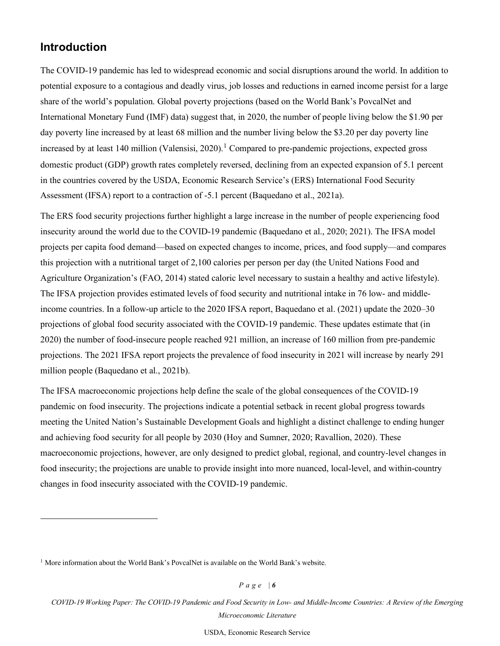## **Introduction**

The COVID-19 pandemic has led to widespread economic and social disruptions around the world. In addition to potential exposure to a contagious and deadly virus, job losses and reductions in earned income persist for a large share of the world's population. Global poverty projections (based on the World Bank's PovcalNet and International Monetary Fund (IMF) data) suggest that, in 2020, the number of people living below the \$1.90 per day poverty line increased by at least 68 million and the number living below the \$3.20 per day poverty line increased by at least [1](#page-5-0)40 million (Valensisi, 2020).<sup>1</sup> Compared to pre-pandemic projections, expected gross domestic product (GDP) growth rates completely reversed, declining from an expected expansion of 5.1 percent in the countries covered by the USDA, Economic Research Service's (ERS) International Food Security Assessment (IFSA) report to a contraction of -5.1 percent (Baquedano et al., 2021a).

The ERS food security projections further highlight a large increase in the number of people experiencing food insecurity around the world due to the COVID-19 pandemic (Baquedano et al., 2020; 2021). The IFSA model projects per capita food demand—based on expected changes to income, prices, and food supply—and compares this projection with a nutritional target of 2,100 calories per person per day (the United Nations Food and Agriculture Organization's (FAO, 2014) stated caloric level necessary to sustain a healthy and active lifestyle). The IFSA projection provides estimated levels of food security and nutritional intake in 76 low- and middleincome countries. In a follow-up article to the 2020 IFSA report, Baquedano et al. (2021) update the 2020–30 projections of global food security associated with the COVID-19 pandemic. These updates estimate that (in 2020) the number of food-insecure people reached 921 million, an increase of 160 million from pre-pandemic projections. The 2021 IFSA report projects the prevalence of food insecurity in 2021 will increase by nearly 291 million people (Baquedano et al., 2021b).

The IFSA macroeconomic projections help define the scale of the global consequences of the COVID-19 pandemic on food insecurity. The projections indicate a potential setback in recent global progress towards meeting the United Nation's Sustainable Development Goals and highlight a distinct challenge to ending hunger and achieving food security for all people by 2030 (Hoy and Sumner, 2020; Ravallion, 2020). These macroeconomic projections, however, are only designed to predict global, regional, and country-level changes in food insecurity; the projections are unable to provide insight into more nuanced, local-level, and within-country changes in food insecurity associated with the COVID-19 pandemic.

*P a g e | 6* 

<span id="page-5-0"></span> $<sup>1</sup>$  More information about the World Bank's PovcalNet is available on the World Bank's website.</sup>

*COVID-19 Working Paper: The COVID-19 Pandemic and Food Security in Low- and Middle-Income Countries: A Review of the Emerging Microeconomic Literature* - *AP-094*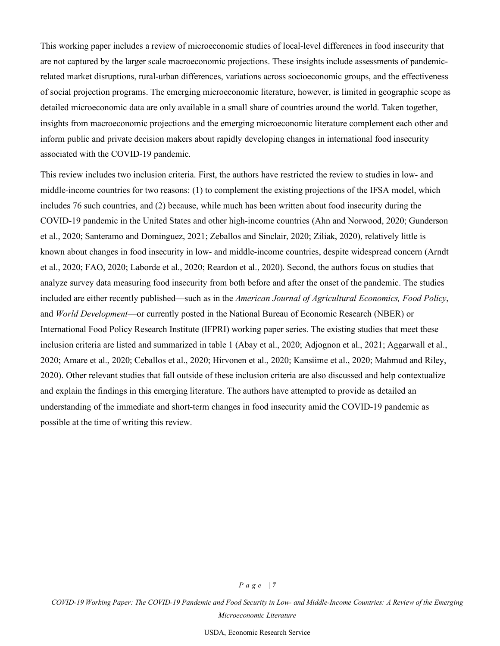This working paper includes a review of microeconomic studies of local-level differences in food insecurity that are not captured by the larger scale macroeconomic projections. These insights include assessments of pandemicrelated market disruptions, rural-urban differences, variations across socioeconomic groups, and the effectiveness of social projection programs. The emerging microeconomic literature, however, is limited in geographic scope as detailed microeconomic data are only available in a small share of countries around the world. Taken together, insights from macroeconomic projections and the emerging microeconomic literature complement each other and inform public and private decision makers about rapidly developing changes in international food insecurity associated with the COVID-19 pandemic.

This review includes two inclusion criteria. First, the authors have restricted the review to studies in low- and middle-income countries for two reasons: (1) to complement the existing projections of the IFSA model, which includes 76 such countries, and (2) because, while much has been written about food insecurity during the COVID-19 pandemic in the United States and other high-income countries (Ahn and Norwood, 2020; Gunderson et al., 2020; Santeramo and Dominguez, 2021; Zeballos and Sinclair, 2020; Ziliak, 2020), relatively little is known about changes in food insecurity in low- and middle-income countries, despite widespread concern (Arndt et al., 2020; FAO, 2020; Laborde et al., 2020; Reardon et al., 2020). Second, the authors focus on studies that analyze survey data measuring food insecurity from both before and after the onset of the pandemic. The studies included are either recently published—such as in the *American Journal of Agricultural Economics, Food Policy*, and *World Development*—or currently posted in the National Bureau of Economic Research (NBER) or International Food Policy Research Institute (IFPRI) working paper series. The existing studies that meet these inclusion criteria are listed and summarized in table 1 (Abay et al., 2020; Adjognon et al., 2021; Aggarwall et al., 2020; Amare et al., 2020; Ceballos et al., 2020; Hirvonen et al., 2020; Kansiime et al., 2020; Mahmud and Riley, 2020). Other relevant studies that fall outside of these inclusion criteria are also discussed and help contextualize and explain the findings in this emerging literature. The authors have attempted to provide as detailed an understanding of the immediate and short-term changes in food insecurity amid the COVID-19 pandemic as possible at the time of writing this review.

*COVID-19 Working Paper: The COVID-19 Pandemic and Food Security in Low- and Middle-Income Countries: A Review of the Emerging Microeconomic Literature - AP-094*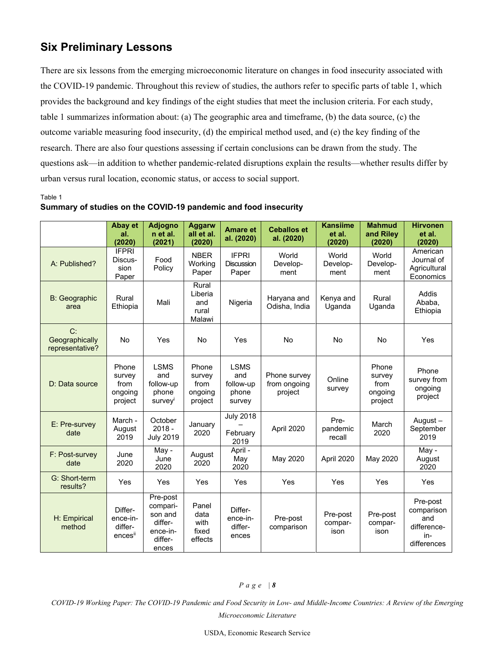# **Six Preliminary Lessons**

There are six lessons from the emerging microeconomic literature on changes in food insecurity associated with the COVID-19 pandemic. Throughout this review of studies, the authors refer to specific parts of table 1, which provides the background and key findings of the eight studies that meet the inclusion criteria. For each study, table 1 summarizes information about: (a) The geographic area and timeframe, (b) the data source, (c) the outcome variable measuring food insecurity, (d) the empirical method used, and (e) the key finding of the research. There are also four questions assessing if certain conclusions can be drawn from the study. The questions ask—in addition to whether pandemic-related disruptions explain the results—whether results differ by urban versus rural location, economic status, or access to social support.

Table 1

|                                         | Abay et<br>al.<br>(2020)                      | <b>Adjogno</b><br>n et al.<br>(2021)                                       | <b>Aggarw</b><br>all et al.<br>(2020)         | <b>Amare et</b><br>al. (2020)                      | <b>Ceballos et</b><br>al. (2020)        | <b>Kansiime</b><br>et al.<br>(2020) | <b>Mahmud</b><br>and Riley<br>(2020)          | <b>Hirvonen</b><br>et al.<br>(2020)                                |
|-----------------------------------------|-----------------------------------------------|----------------------------------------------------------------------------|-----------------------------------------------|----------------------------------------------------|-----------------------------------------|-------------------------------------|-----------------------------------------------|--------------------------------------------------------------------|
| A: Published?                           | <b>IFPRI</b><br>Discus-<br>sion<br>Paper      | Food<br>Policy                                                             | <b>NBER</b><br>Working<br>Paper               | <b>IFPRI</b><br><b>Discussion</b><br>Paper         | World<br>Develop-<br>ment               | World<br>Develop-<br>ment           | World<br>Develop-<br>ment                     | American<br>Journal of<br>Agricultural<br>Economics                |
| <b>B:</b> Geographic<br>area            | Rural<br>Ethiopia                             | Mali                                                                       | Rural<br>Liberia<br>and<br>rural<br>Malawi    | Nigeria                                            | Haryana and<br>Odisha, India            | Kenya and<br>Uganda                 | Rural<br>Uganda                               | Addis<br>Ababa,<br>Ethiopia                                        |
| C:<br>Geographically<br>representative? | No                                            | Yes                                                                        | <b>No</b>                                     | Yes                                                | <b>No</b>                               | <b>No</b>                           | <b>No</b>                                     | Yes                                                                |
| D: Data source                          | Phone<br>survey<br>from<br>ongoing<br>project | <b>LSMS</b><br>and<br>follow-up<br>phone<br>survey                         | Phone<br>survey<br>from<br>ongoing<br>project | <b>LSMS</b><br>and<br>follow-up<br>phone<br>survey | Phone survey<br>from ongoing<br>project | Online<br>survey                    | Phone<br>survey<br>from<br>ongoing<br>project | Phone<br>survey from<br>ongoing<br>project                         |
| E: Pre-survey<br>date                   | March -<br>August<br>2019                     | October<br>$2018 -$<br><b>July 2019</b>                                    | January<br>2020                               | <b>July 2018</b><br>February<br>2019               | April 2020                              | Pre-<br>pandemic<br>recall          | March<br>2020                                 | August-<br>September<br>2019                                       |
| F: Post-survey<br>date                  | June<br>2020                                  | May -<br>June<br>2020                                                      | August<br>2020                                | April -<br>May<br>2020                             | May 2020                                | April 2020                          | May 2020                                      | May -<br>August<br>2020                                            |
| G: Short-term<br>results?               | Yes                                           | Yes                                                                        | Yes                                           | Yes                                                | Yes                                     | Yes                                 | Yes                                           | Yes                                                                |
| H: Empirical<br>method                  | Differ-<br>ence-in-<br>differ-<br>encesii     | Pre-post<br>compari-<br>son and<br>differ-<br>ence-in-<br>differ-<br>ences | Panel<br>data<br>with<br>fixed<br>effects     | Differ-<br>ence-in-<br>differ-<br>ences            | Pre-post<br>comparison                  | Pre-post<br>compar-<br>ison         | Pre-post<br>compar-<br>ison                   | Pre-post<br>comparison<br>and<br>difference-<br>in-<br>differences |

#### **Summary of studies on the COVID-19 pandemic and food insecurity**

#### *P a g e | 8*

*COVID-19 Working Paper: The COVID-19 Pandemic and Food Security in Low- and Middle-Income Countries: A Review of the Emerging Microeconomic Literature - AP-094*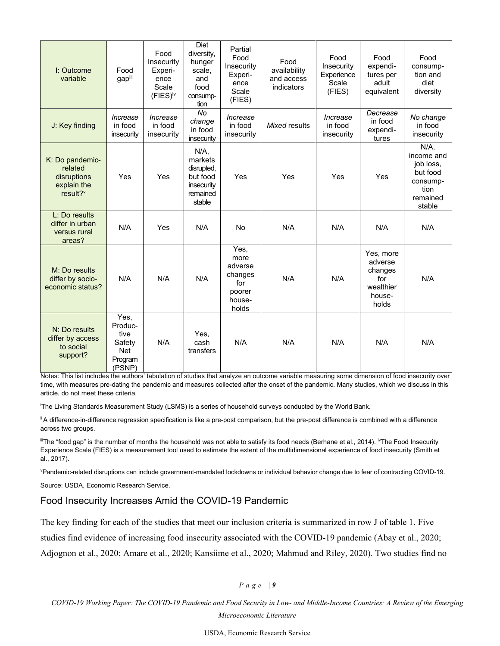| I: Outcome<br>variable                                                           | Food<br>gapiii                                                | Food<br>Insecurity<br>Experi-<br>ence<br>Scale<br>(FIES) <sup>iv</sup> | Diet<br>diversity,<br>hunger<br>scale,<br>and<br>food<br>consump-<br>tion        | Partial<br>Food<br>Insecurity<br>Experi-<br>ence<br>Scale<br>(FIES)    | Food<br>availability<br>and access<br>indicators | Food<br>Insecurity<br>Experience<br>Scale<br>(FIES) | Food<br>expendi-<br>tures per<br>adult<br>equivalent                   | Food<br>consump-<br>tion and<br>diet<br>diversity                                        |
|----------------------------------------------------------------------------------|---------------------------------------------------------------|------------------------------------------------------------------------|----------------------------------------------------------------------------------|------------------------------------------------------------------------|--------------------------------------------------|-----------------------------------------------------|------------------------------------------------------------------------|------------------------------------------------------------------------------------------|
| J: Key finding                                                                   | Increase<br>in food<br>insecurity                             | Increase<br>in food<br>insecurity                                      | No<br>change<br>in food<br>insecurity                                            | Increase<br>in food<br>insecurity                                      | Mixed results                                    | Increase<br>in food<br>insecurity                   | Decrease<br>in food<br>expendi-<br>tures                               | No change<br>in food<br>insecurity                                                       |
| K: Do pandemic-<br>related<br>disruptions<br>explain the<br>result? <sup>v</sup> | Yes                                                           | Yes                                                                    | $N/A$ .<br>markets<br>disrupted,<br>but food<br>insecurity<br>remained<br>stable | Yes                                                                    | Yes                                              | Yes                                                 | Yes                                                                    | $N/A$ ,<br>income and<br>job loss,<br>but food<br>consump-<br>tion<br>remained<br>stable |
| L: Do results<br>differ in urban<br>versus rural<br>areas?                       | N/A                                                           | Yes                                                                    | N/A                                                                              | No                                                                     | N/A                                              | N/A                                                 | N/A                                                                    | N/A                                                                                      |
| M: Do results<br>differ by socio-<br>economic status?                            | N/A                                                           | N/A                                                                    | N/A                                                                              | Yes,<br>more<br>adverse<br>changes<br>for<br>poorer<br>house-<br>holds | N/A                                              | N/A                                                 | Yes, more<br>adverse<br>changes<br>for<br>wealthier<br>house-<br>holds | N/A                                                                                      |
| N: Do results<br>differ by access<br>to social<br>support?                       | Yes,<br>Produc-<br>tive<br>Safety<br>Net<br>Program<br>(PSNP) | N/A                                                                    | Yes,<br>cash<br>transfers                                                        | N/A                                                                    | N/A                                              | N/A                                                 | N/A                                                                    | N/A                                                                                      |

Notes*:* This list includes the authors' tabulation of studies that analyze an outcome variable measuring some dimension of food insecurity over time, with measures pre-dating the pandemic and measures collected after the onset of the pandemic. Many studies, which we discuss in this article, do not meet these criteria.

i The Living Standards Measurement Study (LSMS) is a series of household surveys conducted by the World Bank.

<sup>ii</sup> A difference-in-difference regression specification is like a pre-post comparison, but the pre-post difference is combined with a difference across two groups.

 $^{\text{\tiny{\textsf{ii}}}}$ The "food gap" is the number of months the household was not able to satisfy its food needs (Berhane et al., 2014). <sup>i</sup>vThe Food Insecurity Experience Scale (FIES) is a measurement tool used to estimate the extent of the multidimensional experience of food insecurity (Smith et al., 2017).

v Pandemic-related disruptions can include government-mandated lockdowns or individual behavior change due to fear of contracting COVID-19.

Source: USDA, Economic Research Service.

### Food Insecurity Increases Amid the COVID-19 Pandemic

The key finding for each of the studies that meet our inclusion criteria is summarized in row J of table 1. Five

studies find evidence of increasing food insecurity associated with the COVID-19 pandemic (Abay et al., 2020;

Adjognon et al., 2020; Amare et al., 2020; Kansiime et al., 2020; Mahmud and Riley, 2020). Two studies find no

*P a g e | 9* 

*COVID-19 Working Paper: The COVID-19 Pandemic and Food Security in Low- and Middle-Income Countries: A Review of the Emerging Microeconomic Literature - AP-094*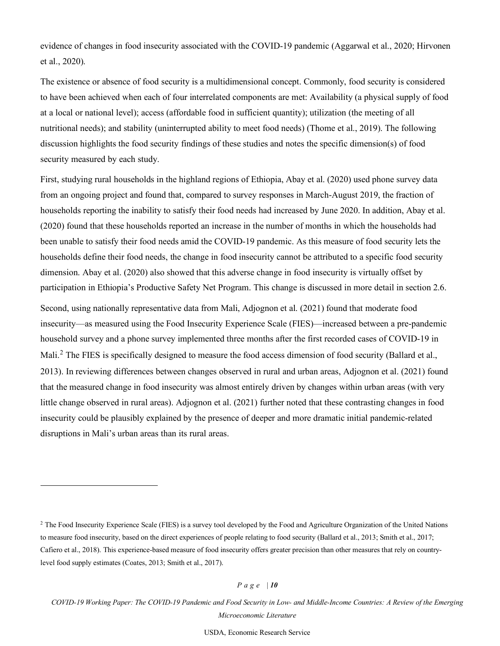evidence of changes in food insecurity associated with the COVID-19 pandemic (Aggarwal et al., 2020; Hirvonen et al., 2020).

The existence or absence of food security is a multidimensional concept. Commonly, food security is considered to have been achieved when each of four interrelated components are met: Availability (a physical supply of food at a local or national level); access (affordable food in sufficient quantity); utilization (the meeting of all nutritional needs); and stability (uninterrupted ability to meet food needs) (Thome et al., 2019). The following discussion highlights the food security findings of these studies and notes the specific dimension(s) of food security measured by each study.

First, studying rural households in the highland regions of Ethiopia, Abay et al. (2020) used phone survey data from an ongoing project and found that, compared to survey responses in March-August 2019, the fraction of households reporting the inability to satisfy their food needs had increased by June 2020. In addition, Abay et al. (2020) found that these households reported an increase in the number of months in which the households had been unable to satisfy their food needs amid the COVID-19 pandemic. As this measure of food security lets the households define their food needs, the change in food insecurity cannot be attributed to a specific food security dimension. Abay et al. (2020) also showed that this adverse change in food insecurity is virtually offset by participation in Ethiopia's Productive Safety Net Program. This change is discussed in more detail in section 2.6.

Second, using nationally representative data from Mali, Adjognon et al. (2021) found that moderate food insecurity—as measured using the Food Insecurity Experience Scale (FIES)—increased between a pre-pandemic household survey and a phone survey implemented three months after the first recorded cases of COVID-19 in Mali.<sup>[2](#page-9-0)</sup> The FIES is specifically designed to measure the food access dimension of food security (Ballard et al., 2013). In reviewing differences between changes observed in rural and urban areas, Adjognon et al. (2021) found that the measured change in food insecurity was almost entirely driven by changes within urban areas (with very little change observed in rural areas). Adjognon et al. (2021) further noted that these contrasting changes in food insecurity could be plausibly explained by the presence of deeper and more dramatic initial pandemic-related disruptions in Mali's urban areas than its rural areas.

*P a g e | 10* 

*COVID-19 Working Paper: The COVID-19 Pandemic and Food Security in Low- and Middle-Income Countries: A Review of the Emerging Microeconomic Literature - AP-094*

<span id="page-9-0"></span><sup>&</sup>lt;sup>2</sup> The Food Insecurity Experience Scale (FIES) is a survey tool developed by the Food and Agriculture Organization of the United Nations to measure food insecurity, based on the direct experiences of people relating to food security (Ballard et al., 2013; Smith et al., 2017; Cafiero et al., 2018). This experience-based measure of food insecurity offers greater precision than other measures that rely on countrylevel food supply estimates (Coates, 2013; Smith et al., 2017).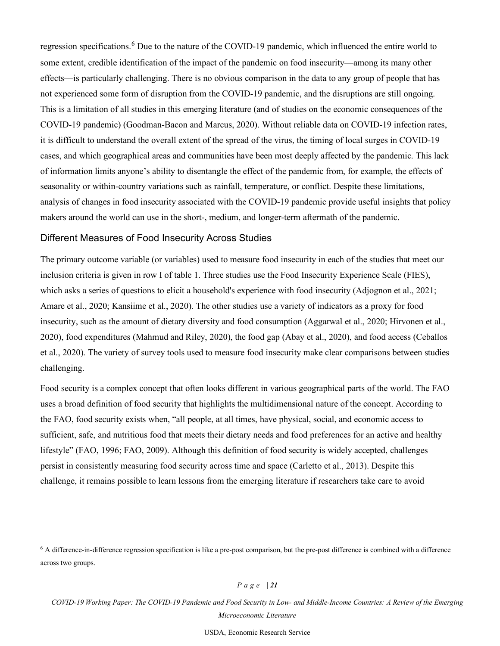regression specifications.<sup>[6](#page-20-0)</sup> Due to the nature of the COVID-19 pandemic, which influenced the entire world to some extent, credible identification of the impact of the pandemic on food insecurity—among its many other effects—is particularly challenging. There is no obvious comparison in the data to any group of people that has not experienced some form of disruption from the COVID-19 pandemic, and the disruptions are still ongoing. This is a limitation of all studies in this emerging literature (and of studies on the economic consequences of the COVID-19 pandemic) (Goodman-Bacon and Marcus, 2020). Without reliable data on COVID-19 infection rates, it is difficult to understand the overall extent of the spread of the virus, the timing of local surges in COVID-19 cases, and which geographical areas and communities have been most deeply affected by the pandemic. This lack of information limits anyone's ability to disentangle the effect of the pandemic from, for example, the effects of seasonality or within-country variations such as rainfall, temperature, or conflict. Despite these limitations, analysis of changes in food insecurity associated with the COVID-19 pandemic provide useful insights that policy makers around the world can use in the short-, medium, and longer-term aftermath of the pandemic.

#### Different Measures of Food Insecurity Across Studies

The primary outcome variable (or variables) used to measure food insecurity in each of the studies that meet our inclusion criteria is given in row I of table 1. Three studies use the Food Insecurity Experience Scale (FIES), which asks a series of questions to elicit a household's experience with food insecurity (Adjognon et al., 2021; Amare et al., 2020; Kansiime et al., 2020). The other studies use a variety of indicators as a proxy for food insecurity, such as the amount of dietary diversity and food consumption (Aggarwal et al., 2020; Hirvonen et al., 2020), food expenditures (Mahmud and Riley, 2020), the food gap (Abay et al., 2020), and food access (Ceballos et al., 2020). The variety of survey tools used to measure food insecurity make clear comparisons between studies challenging.

Food security is a complex concept that often looks different in various geographical parts of the world. The FAO uses a broad definition of food security that highlights the multidimensional nature of the concept. According to the FAO, food security exists when, "all people, at all times, have physical, social, and economic access to sufficient, safe, and nutritious food that meets their dietary needs and food preferences for an active and healthy lifestyle" (FAO, 1996; FAO, 2009). Although this definition of food security is widely accepted, challenges persist in consistently measuring food security across time and space (Carletto et al., 2013). Despite this challenge, it remains possible to learn lessons from the emerging literature if researchers take care to avoid

*P a g e | 21* 

<span id="page-20-0"></span> $6$  A difference-in-difference regression specification is like a pre-post comparison, but the pre-post difference is combined with a difference across two groups.

*COVID-19 Working Paper: The COVID-19 Pandemic and Food Security in Low- and Middle-Income Countries: A Review of the Emerging Microeconomic Literature - AP-094*